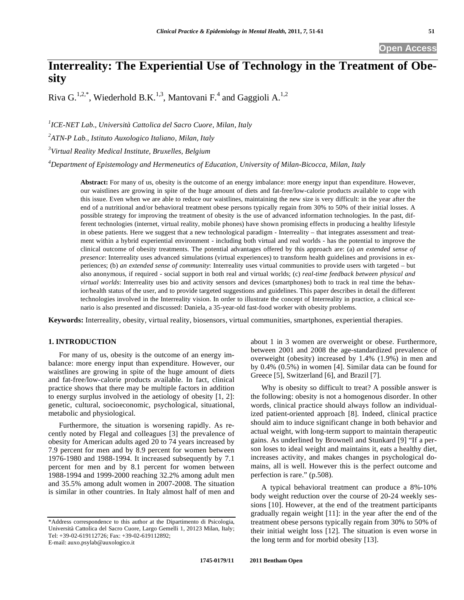**Open Access** 

# **Interreality: The Experiential Use of Technology in the Treatment of Obesity**

Riva  $G^{1,2,*}$ , Wiederhold B.K.<sup>1,3</sup>, Mantovani F.<sup>4</sup> and Gaggioli A.<sup>1,2</sup>

*1 ICE-NET Lab., Università Cattolica del Sacro Cuore, Milan, Italy 2 ATN-P Lab., Istituto Auxologico Italiano, Milan, Italy* 

*3 Virtual Reality Medical Institute, Bruxelles, Belgium* 

*4 Department of Epistemology and Hermeneutics of Education, University of Milan-Bicocca, Milan, Italy* 

**Abstract:** For many of us, obesity is the outcome of an energy imbalance: more energy input than expenditure. However, our waistlines are growing in spite of the huge amount of diets and fat-free/low-calorie products available to cope with this issue. Even when we are able to reduce our waistlines, maintaining the new size is very difficult: in the year after the end of a nutritional and/or behavioral treatment obese persons typically regain from 30% to 50% of their initial losses. A possible strategy for improving the treatment of obesity is the use of advanced information technologies. In the past, different technologies (internet, virtual reality, mobile phones) have shown promising effects in producing a healthy lifestyle in obese patients. Here we suggest that a new technological paradigm - Interreality – that integrates assessment and treatment within a hybrid experiential environment - including both virtual and real worlds - has the potential to improve the clinical outcome of obesity treatments. The potential advantages offered by this approach are: (a) *an extended sense of presence*: Interreality uses advanced simulations (virtual experiences) to transform health guidelines and provisions in experiences; (b) *an extended sense of community*: Interreality uses virtual communities to provide users with targeted – but also anonymous, if required - social support in both real and virtual worlds; (c) *real-time feedback between physical and virtual worlds*: Interreality uses bio and activity sensors and devices (smartphones) both to track in real time the behavior/health status of the user, and to provide targeted suggestions and guidelines. This paper describes in detail the different technologies involved in the Interreality vision. In order to illustrate the concept of Interreality in practice, a clinical scenario is also presented and discussed: Daniela, a 35-year-old fast-food worker with obesity problems.

**Keywords:** Interreality, obesity, virtual reality, biosensors, virtual communities, smartphones, experiential therapies.

# **1. INTRODUCTION**

For many of us, obesity is the outcome of an energy imbalance: more energy input than expenditure. However, our waistlines are growing in spite of the huge amount of diets and fat-free/low-calorie products available. In fact, clinical practice shows that there may be multiple factors in addition to energy surplus involved in the aetiology of obesity [1, 2]: genetic, cultural, socioeconomic, psychological, situational, metabolic and physiological.

Furthermore, the situation is worsening rapidly. As recently noted by Flegal and colleagues [3] the prevalence of obesity for American adults aged 20 to 74 years increased by 7.9 percent for men and by 8.9 percent for women between 1976-1980 and 1988-1994. It increased subsequently by 7.1 percent for men and by 8.1 percent for women between 1988-1994 and 1999-2000 reaching 32.2% among adult men and 35.5% among adult women in 2007-2008. The situation is similar in other countries. In Italy almost half of men and

about 1 in 3 women are overweight or obese. Furthermore, between 2001 and 2008 the age-standardized prevalence of overweight (obesity) increased by 1.4% (1.9%) in men and by 0.4% (0.5%) in women [4]. Similar data can be found for Greece [5], Switzerland [6], and Brazil [7].

Why is obesity so difficult to treat? A possible answer is the following: obesity is not a homogenous disorder. In other words, clinical practice should always follow an individualized patient-oriented approach [8]. Indeed, clinical practice should aim to induce significant change in both behavior and actual weight, with long-term support to maintain therapeutic gains. As underlined by Brownell and Stunkard [9] "If a person loses to ideal weight and maintains it, eats a healthy diet, increases activity, and makes changes in psychological domains, all is well. However this is the perfect outcome and perfection is rare." (p.508).

A typical behavioral treatment can produce a 8%-10% body weight reduction over the course of 20-24 weekly sessions [10]. However, at the end of the treatment participants gradually regain weight [11]: in the year after the end of the treatment obese persons typically regain from 30% to 50% of their initial weight loss [12]. The situation is even worse in the long term and for morbid obesity [13].

<sup>\*</sup>Address correspondence to this author at the Dipartimento di Psicologia, Università Cattolica del Sacro Cuore, Largo Gemelli 1, 20123 Milan, Italy; Tel: +39-02-619112726; Fax: +39-02-619112892; E-mail: auxo.psylab@auxologico.it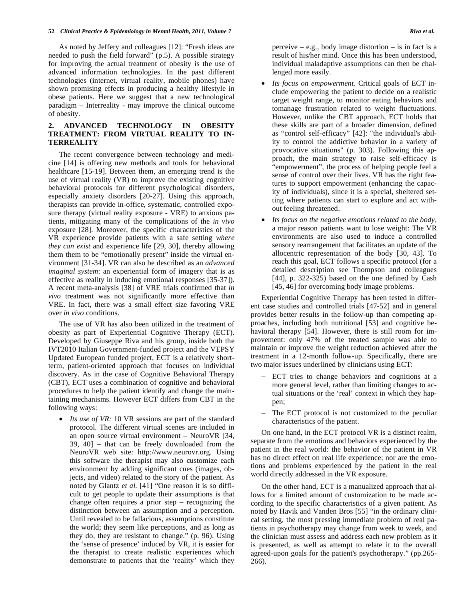As noted by Jeffery and colleagues [12]: "Fresh ideas are needed to push the field forward" (p.5). A possible strategy for improving the actual treatment of obesity is the use of advanced information technologies. In the past different technologies (internet, virtual reality, mobile phones) have shown promising effects in producing a healthy lifestyle in obese patients. Here we suggest that a new technological paradigm – Interreality - may improve the clinical outcome of obesity.

# **2. ADVANCED TECHNOLOGY IN OBESITY TREATMENT: FROM VIRTUAL REALITY TO IN-TERREALITY**

The recent convergence between technology and medicine [14] is offering new methods and tools for behavioral healthcare [15-19]. Between them, an emerging trend is the use of virtual reality (VR) to improve the existing cognitive behavioral protocols for different psychological disorders, especially anxiety disorders [20-27]. Using this approach, therapists can provide in-office, systematic, controlled exposure therapy (virtual reality exposure - VRE) to anxious patients, mitigating many of the complications of the *in vivo* exposure [28]. Moreover, the specific characteristics of the VR experience provide patients with a safe setting *where they can exist* and experience life [29, 30], thereby allowing them them to be "emotionally present" inside the virtual environment [31-34]. VR can also be described as an *advanced imaginal system*: an experiential form of imagery that is as effective as reality in inducing emotional responses [35-37]). A recent meta-analysis [38] of VRE trials confirmed that *in vivo* treatment was not significantly more effective than VRE. In fact, there was a small effect size favoring VRE over *in vivo* conditions.

The use of VR has also been utilized in the treatment of obesity as part of Experiential Cognitive Therapy (ECT). Developed by Giuseppe Riva and his group, inside both the IVT2010 Italian Government-funded project and the VEPSY Updated European funded project, ECT is a relatively shortterm, patient-oriented approach that focuses on individual discovery. As in the case of Cognitive Behavioral Therapy (CBT), ECT uses a combination of cognitive and behavioral procedures to help the patient identify and change the maintaining mechanisms. However ECT differs from CBT in the following ways:

• *Its use of VR:* 10 VR sessions are part of the standard protocol. The different virtual scenes are included in an open source virtual environment – NeuroVR [34, 39, 40] – that can be freely downloaded from the NeuroVR web site: http://www.neurovr.org. Using this software the therapist may also customize each environment by adding significant cues (images, objects, and video) related to the story of the patient. As noted by Glantz *et al.* [41] "One reason it is so difficult to get people to update their assumptions is that change often requires a prior step – recognizing the distinction between an assumption and a perception. Until revealed to be fallacious, assumptions constitute the world; they seem like perceptions, and as long as they do, they are resistant to change." (p. 96). Using the 'sense of presence' induced by VR, it is easier for the therapist to create realistic experiences which demonstrate to patients that the 'reality' which they

perceive  $-$  e.g., body image distortion  $-$  is in fact is a result of his/her mind. Once this has been understood, individual maladaptive assumptions can then be challenged more easily.

- *Its focus on empowerment*. Critical goals of ECT include empowering the patient to decide on a realistic target weight range, to monitor eating behaviors and tomanage frustration related to weight fluctuations. However, unlike the CBT approach, ECT holds that these skills are part of a broader dimension, defined as "control self-efficacy" [42]: "the individual's ability to control the addictive behavior in a variety of provocative situations" (p. 303). Following this approach, the main strategy to raise self-efficacy is "empowerment", the process of helping people feel a sense of control over their lives. VR has the right features to support empowerment (enhancing the capacity of individuals), since it is a special, sheltered setting where patients can start to explore and act without feeling threatened.
- *Its focus on the negative emotions related to the body*, a major reason patients want to lose weight: The VR environments are also used to induce a controlled sensory rearrangement that facilitates an update of the allocentric representation of the body [30, 43]. To reach this goal, ECT follows a specific protocol (for a detailed description see Thompson and colleagues [44], p. 322-325) based on the one defined by Cash [45, 46] for overcoming body image problems.

Experiential Cognitive Therapy has been tested in different case studies and controlled trials [47-52] and in general provides better results in the follow-up than competing approaches, including both nutritional [53] and cognitive behavioral therapy [54]. However, there is still room for improvement: only 47% of the treated sample was able to maintain or improve the weight reduction achieved after the treatment in a 12-month follow-up. Specifically, there are two major issues underlined by clinicians using ECT:

- ECT tries to change behaviors and cognitions at a more general level, rather than limiting changes to actual situations or the 'real' context in which they happen;
- The ECT protocol is not customized to the peculiar characteristics of the patient.

On one hand, in the ECT protocol VR is a distinct realm, separate from the emotions and behaviors experienced by the patient in the real world: the behavior of the patient in VR has no direct effect on real life experience; nor are the emotions and problems experienced by the patient in the real world directly addressed in the VR exposure.

On the other hand, ECT is a manualized approach that allows for a limited amount of customization to be made according to the specific characteristics of a given patient. As noted by Havik and Vanden Bros [55] "in the ordinary clinical setting, the most pressing immediate problem of real patients in psychotherapy may change from week to week, and the clinician must assess and address each new problem as it is presented, as well as attempt to relate it to the overall agreed-upon goals for the patient's psychotherapy." (pp.265- 266).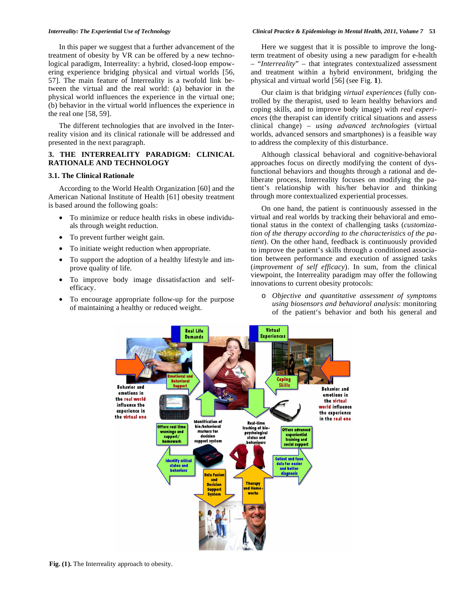In this paper we suggest that a further advancement of the treatment of obesity by VR can be offered by a new technological paradigm, Interreality: a hybrid, closed-loop empowering experience bridging physical and virtual worlds [56, 57]. The main feature of Interreality is a twofold link between the virtual and the real world: (a) behavior in the physical world influences the experience in the virtual one; (b) behavior in the virtual world influences the experience in the real one [58, 59].

The different technologies that are involved in the Interreality vision and its clinical rationale will be addressed and presented in the next paragraph.

# **3. THE INTERREALITY PARADIGM: CLINICAL RATIONALE AND TECHNOLOGY**

# **3.1. The Clinical Rationale**

According to the World Health Organization [60] and the American National Institute of Health [61] obesity treatment is based around the following goals:

- To minimize or reduce health risks in obese individuals through weight reduction.
- To prevent further weight gain.
- To initiate weight reduction when appropriate.
- To support the adoption of a healthy lifestyle and improve quality of life.
- To improve body image dissatisfaction and selfefficacy.
- To encourage appropriate follow-up for the purpose of maintaining a healthy or reduced weight.

#### *Interreality: The Experiential Use of Technology Clinical Practice & Epidemiology in Mental Health, 2011, Volume 7* **53**

Here we suggest that it is possible to improve the longterm treatment of obesity using a new paradigm for e-health – "*Interreality*" – that integrates contextualized assessment and treatment within a hybrid environment, bridging the physical and virtual world [56] (see Fig. **1**).

Our claim is that bridging *virtual experiences* (fully controlled by the therapist, used to learn healthy behaviors and coping skills, and to improve body image) with *real experiences* (the therapist can identify critical situations and assess clinical change) – *using advanced technologies* (virtual worlds, advanced sensors and smartphones) is a feasible way to address the complexity of this disturbance.

Although classical behavioral and cognitive-behavioral approaches focus on directly modifying the content of dysfunctional behaviors and thoughts through a rational and deliberate process, Interreality focuses on modifying the patient's relationship with his/her behavior and thinking through more contextualized experiential processes.

On one hand, the patient is continuously assessed in the virtual and real worlds by tracking their behavioral and emotional status in the context of challenging tasks (*customization of the therapy according to the characteristics of the patient*). On the other hand, feedback is continuously provided to improve the patient's skills through a conditioned association between performance and execution of assigned tasks (*improvement of self efficacy*). In sum, from the clinical viewpoint, the Interreality paradigm may offer the following innovations to current obesity protocols:

o *Objective and quantitative assessment of symptoms using biosensors and behavioral analysis*: monitoring of the patient's behavior and both his general and

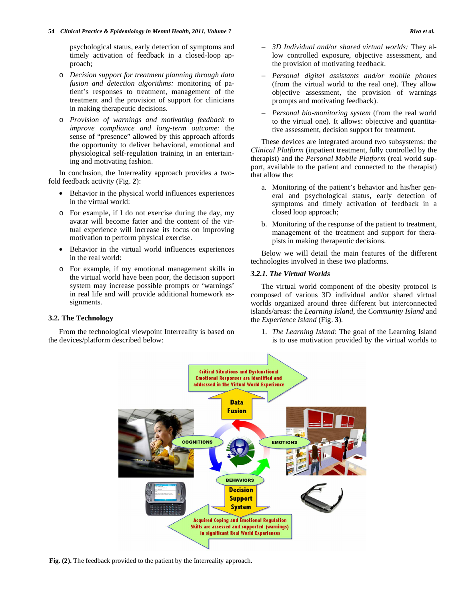psychological status, early detection of symptoms and timely activation of feedback in a closed-loop approach;

- o *Decision support for treatment planning through data fusion and detection algorithms:* monitoring of patient's responses to treatment, management of the treatment and the provision of support for clinicians in making therapeutic decisions.
- o *Provision of warnings and motivating feedback to improve compliance and long-term outcome:* the sense of "presence" allowed by this approach affords the opportunity to deliver behavioral, emotional and physiological self-regulation training in an entertaining and motivating fashion.

In conclusion, the Interreality approach provides a twofold feedback activity (Fig. **2**):

- Behavior in the physical world influences experiences in the virtual world:
- o For example, if I do not exercise during the day, my avatar will become fatter and the content of the virtual experience will increase its focus on improving motivation to perform physical exercise.
- Behavior in the virtual world influences experiences in the real world:
- o For example, if my emotional management skills in the virtual world have been poor, the decision support system may increase possible prompts or 'warnings' in real life and will provide additional homework assignments.

# **3.2. The Technology**

From the technological viewpoint Interreality is based on the devices/platform described below:

- *3D Individual and/or shared virtual worlds:* They allow controlled exposure, objective assessment, and the provision of motivating feedback.
- *Personal digital assistants and/or mobile phones* (from the virtual world to the real one). They allow objective assessment, the provision of warnings prompts and motivating feedback).
- *Personal bio-monitoring system* (from the real world to the virtual one). It allows: objective and quantitative assessment, decision support for treatment.

These devices are integrated around two subsystems: the *Clinical Platform* (inpatient treatment, fully controlled by the therapist) and the *Personal Mobile Platform* (real world support, available to the patient and connected to the therapist) that allow the:

- a. Monitoring of the patient's behavior and his/her general and psychological status, early detection of symptoms and timely activation of feedback in a closed loop approach;
- b. Monitoring of the response of the patient to treatment, management of the treatment and support for therapists in making therapeutic decisions.

Below we will detail the main features of the different technologies involved in these two platforms.

# *3.2.1. The Virtual Worlds*

The virtual world component of the obesity protocol is composed of various 3D individual and/or shared virtual worlds organized around three different but interconnected islands/areas: the *Learning Island,* the *Community Island* and the *Experience Island* (Fig. **3**)*.* 

1. *The Learning Island*: The goal of the Learning Island is to use motivation provided by the virtual worlds to



**Fig. (2).** The feedback provided to the patient by the Interreality approach.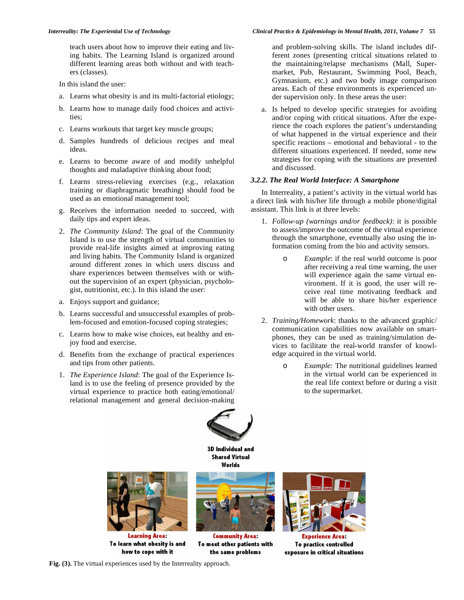teach users about how to improve their eating and living habits. The Learning Island is organized around different learning areas both without and with teachers (classes).

In this island the user:

- a. Learns what obesity is and its multi-factorial etiology;
- b. Learns how to manage daily food choices and activities;
- c. Learns workouts that target key muscle groups;
- d. Samples hundreds of delicious recipes and meal ideas.
- e. Learns to become aware of and modify unhelpful thoughts and maladaptive thinking about food;
- f. Learns stress-relieving exercises (e.g., relaxation training or diaphragmatic breathing) should food be used as an emotional management tool;
- g. Receives the information needed to succeed, with daily tips and expert ideas.
- 2. *The Community Island*: The goal of the Community Island is to use the strength of virtual communities to provide real-life insights aimed at improving eating and living habits. The Community Island is organized around different zones in which users discuss and share experiences between themselves with or without the supervision of an expert (physician, psychologist, nutritionist, etc.). In this island the user:
- a. Enjoys support and guidance;
- b. Learns successful and unsuccessful examples of problem-focused and emotion-focused coping strategies;
- c. Learns how to make wise choices, eat healthy and enjoy food and exercise.
- d. Benefits from the exchange of practical experiences and tips from other patients.
- 1. *The Experience Island*: The goal of the Experience Island is to use the feeling of presence provided by the virtual experience to practice both eating/emotional/ relational management and general decision-making

and problem-solving skills. The island includes different zones (presenting critical situations related to the maintaining/relapse mechanisms (Mall, Supermarket, Pub, Restaurant, Swimming Pool, Beach, Gymnasium, etc.) and two body image comparison areas. Each of these environments is experienced under supervision only. In these areas the user:

a. Is helped to develop specific strategies for avoiding and/or coping with critical situations. After the experience the coach explores the patient's understanding of what happened in the virtual experience and their specific reactions – emotional and behavioral - to the different situations experienced. If needed, some new strategies for coping with the situations are presented and discussed.

# *3.2.2. The Real World Interface: A Smartphone*

In Interreality, a patient's activity in the virtual world has a direct link with his/her life through a mobile phone/digital assistant. This link is at three levels:

- 1. *Follow-up (warnings and/or feedback)*: it is possible to assess/improve the outcome of the virtual experience through the smartphone, eventually also using the information coming from the bio and activity sensors.
	- o *Example*: if the real world outcome is poor after receiving a real time warning, the user will experience again the same virtual environment. If it is good, the user will receive real time motivating feedback and will be able to share his/her experience with other users.
- 2. *Training/Homework*: thanks to the advanced graphic/ communication capabilities now available on smartphones, they can be used as training/simulation devices to facilitate the real-world transfer of knowledge acquired in the virtual world.
	- o *Example:* The nutritional guidelines learned in the virtual world can be experienced in the real life context before or during a visit to the supermarket.



**3D Individual and Shared Virtual** Worlds



**Learning Area:** To learn what obesity is and how to cope with it



**Community Area:** To meet other patients with the same problems



To practice controlled exposure in critical situations

**Fig. (3).** The virtual experiences used by the Interreality approach.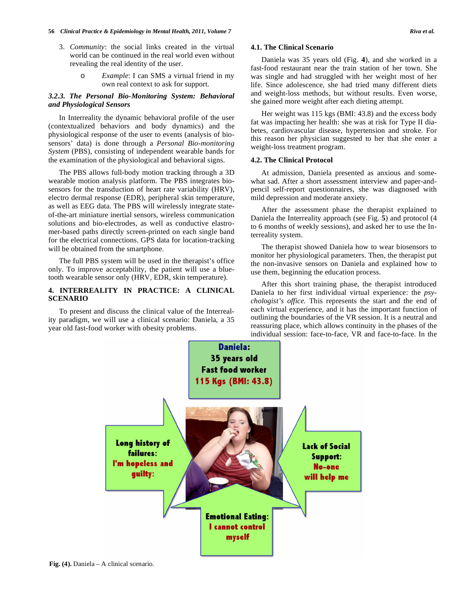#### **56** *Clinical Practice & Epidemiology in Mental Health, 2011, Volume 7 Riva <i>et al.* **Riva** *et al.* **Riva** *et al.*

- 3. *Community*: the social links created in the virtual world can be continued in the real world even without revealing the real identity of the user.
	- o *Example*: I can SMS a virtual friend in my own real context to ask for support.

# *3.2.3. The Personal Bio-Monitoring System: Behavioral and Physiological Sensors*

In Interreality the dynamic behavioral profile of the user (contextualized behaviors and body dynamics) and the physiological response of the user to events (analysis of biosensors' data) is done through a *Personal Bio-monitoring System* (PBS), consisting of independent wearable bands for the examination of the physiological and behavioral signs.

The PBS allows full-body motion tracking through a 3D wearable motion analysis platform. The PBS integrates biosensors for the transduction of heart rate variability (HRV), electro dermal response (EDR), peripheral skin temperature, as well as EEG data. The PBS will wirelessly integrate stateof-the-art miniature inertial sensors, wireless communication solutions and bio-electrodes, as well as conductive elastromer-based paths directly screen-printed on each single band for the electrical connections. GPS data for location-tracking will be obtained from the smartphone.

The full PBS system will be used in the therapist's office only. To improve acceptability, the patient will use a bluetooth wearable sensor only (HRV, EDR, skin temperature).

# **4. INTERREALITY IN PRACTICE: A CLINICAL SCENARIO**

To present and discuss the clinical value of the Interreality paradigm, we will use a clinical scenario: Daniela, a 35 year old fast-food worker with obesity problems.

# **4.1. The Clinical Scenario**

Daniela was 35 years old (Fig. **4**), and she worked in a fast-food restaurant near the train station of her town. She was single and had struggled with her weight most of her life. Since adolescence, she had tried many different diets and weight-loss methods, but without results. Even worse, she gained more weight after each dieting attempt.

Her weight was 115 kgs (BMI: 43.8) and the excess body fat was impacting her health: she was at risk for Type II diabetes, cardiovascular disease, hypertension and stroke. For this reason her physician suggested to her that she enter a weight-loss treatment program.

## **4.2. The Clinical Protocol**

At admission, Daniela presented as anxious and somewhat sad. After a short assessment interview and paper-andpencil self-report questionnaires, she was diagnosed with mild depression and moderate anxiety.

After the assessment phase the therapist explained to Daniela the Interreality approach (see Fig. **5**) and protocol (4 to 6 months of weekly sessions), and asked her to use the Interreality system.

The therapist showed Daniela how to wear biosensors to monitor her physiological parameters. Then, the therapist put the non-invasive sensors on Daniela and explained how to use them, beginning the education process.

After this short training phase, the therapist introduced Daniela to her first individual virtual experience: the *psychologist's office.* This represents the start and the end of each virtual experience, and it has the important function of outlining the boundaries of the VR session. It is a neutral and reassuring place, which allows continuity in the phases of the individual session: face-to-face, VR and face-to-face. In the

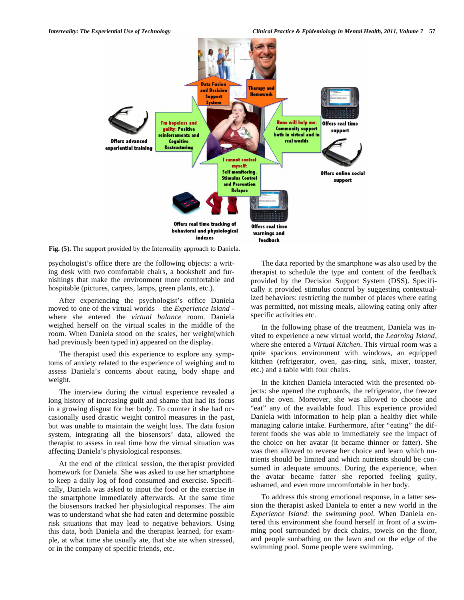

**Fig. (5).** The support provided by the Interreality approach to Daniela.

psychologist's office there are the following objects: a writing desk with two comfortable chairs, a bookshelf and furnishings that make the environment more comfortable and hospitable (pictures, carpets, lamps, green plants, etc.).

After experiencing the psychologist's office Daniela moved to one of the virtual worlds – the *Experience Island* where she entered the *virtual balance* room. Daniela weighed herself on the virtual scales in the middle of the room. When Daniela stood on the scales, her weight(which had previously been typed in) appeared on the display.

The therapist used this experience to explore any symptoms of anxiety related to the experience of weighing and to assess Daniela's concerns about eating, body shape and weight.

The interview during the virtual experience revealed a long history of increasing guilt and shame that had its focus in a growing disgust for her body. To counter it she had occasionally used drastic weight control measures in the past, but was unable to maintain the weight loss. The data fusion system, integrating all the biosensors' data, allowed the therapist to assess in real time how the virtual situation was affecting Daniela's physiological responses.

At the end of the clinical session, the therapist provided homework for Daniela. She was asked to use her smartphone to keep a daily log of food consumed and exercise. Specifically, Daniela was asked to input the food or the exercise in the smartphone immediately afterwards. At the same time the biosensors tracked her physiological responses. The aim was to understand what she had eaten and determine possible risk situations that may lead to negative behaviors. Using this data, both Daniela and the therapist learned, for example, at what time she usually ate, that she ate when stressed, or in the company of specific friends, etc.

The data reported by the smartphone was also used by the therapist to schedule the type and content of the feedback provided by the Decision Support System (DSS). Specifically it provided stimulus control by suggesting contextualized behaviors: restricting the number of places where eating was permitted, not missing meals, allowing eating only after specific activities etc.

In the following phase of the treatment, Daniela was invited to experience a new virtual world, the *Learning Island*, where she entered a *Virtual Kitchen*. This virtual room was a quite spacious environment with windows, an equipped kitchen (refrigerator, oven, gas-ring, sink, mixer, toaster, etc.) and a table with four chairs.

In the kitchen Daniela interacted with the presented objects: she opened the cupboards, the refrigerator, the freezer and the oven. Moreover, she was allowed to choose and "eat" any of the available food. This experience provided Daniela with information to help plan a healthy diet while managing calorie intake. Furthermore, after "eating" the different foods she was able to immediately see the impact of the choice on her avatar (it became thinner or fatter). She was then allowed to reverse her choice and learn which nutrients should be limited and which nutrients should be consumed in adequate amounts. During the experience, when the avatar became fatter she reported feeling guilty, ashamed, and even more uncomfortable in her body.

To address this strong emotional response, in a latter session the therapist asked Daniela to enter a new world in the *Experience Island*: the *swimming pool*. When Daniela entered this environment she found herself in front of a swimming pool surrounded by deck chairs, towels on the floor, and people sunbathing on the lawn and on the edge of the swimming pool. Some people were swimming.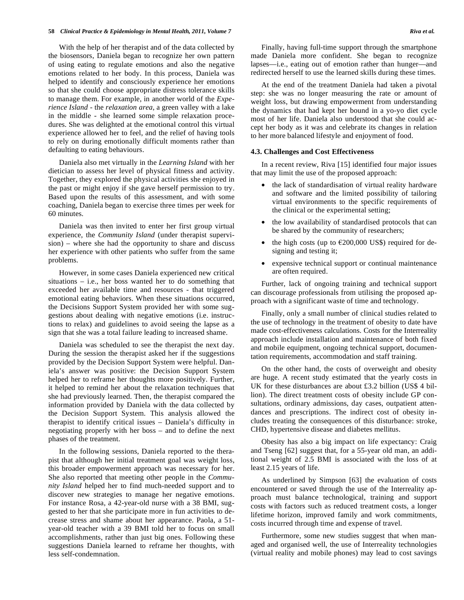With the help of her therapist and of the data collected by the biosensors, Daniela began to recognize her own pattern of using eating to regulate emotions and also the negative emotions related to her body. In this process, Daniela was helped to identify and consciously experience her emotions so that she could choose appropriate distress tolerance skills to manage them. For example, in another world of the *Experience Island* - the *relaxation area*, a green valley with a lake in the middle - she learned some simple relaxation procedures. She was delighted at the emotional control this virtual experience allowed her to feel, and the relief of having tools to rely on during emotionally difficult moments rather than defaulting to eating behaviours.

Daniela also met virtually in the *Learning Island* with her dietician to assess her level of physical fitness and activity. Together, they explored the physical activities she enjoyed in the past or might enjoy if she gave herself permission to try. Based upon the results of this assessment, and with some coaching, Daniela began to exercise three times per week for 60 minutes.

Daniela was then invited to enter her first group virtual experience, the *Community Island* (under therapist supervision) – where she had the opportunity to share and discuss her experience with other patients who suffer from the same problems.

However, in some cases Daniela experienced new critical situations – i.e., her boss wanted her to do something that exceeded her available time and resources - that triggered emotional eating behaviors. When these situations occurred, the Decisions Support System provided her with some suggestions about dealing with negative emotions (i.e. instructions to relax) and guidelines to avoid seeing the lapse as a sign that she was a total failure leading to increased shame.

Daniela was scheduled to see the therapist the next day. During the session the therapist asked her if the suggestions provided by the Decision Support System were helpful. Daniela's answer was positive: the Decision Support System helped her to reframe her thoughts more positively. Further, it helped to remind her about the relaxation techniques that she had previously learned. Then, the therapist compared the information provided by Daniela with the data collected by the Decision Support System. This analysis allowed the therapist to identify critical issues – Daniela's difficulty in negotiating properly with her boss – and to define the next phases of the treatment.

In the following sessions, Daniela reported to the therapist that although her initial treatment goal was weight loss, this broader empowerment approach was necessary for her. She also reported that meeting other people in the *Community Island* helped her to find much-needed support and to discover new strategies to manage her negative emotions. For instance Rosa, a 42-year-old nurse with a 38 BMI, suggested to her that she participate more in fun activities to decrease stress and shame about her appearance. Paola, a 51 year-old teacher with a 39 BMI told her to focus on small accomplishments, rather than just big ones. Following these suggestions Daniela learned to reframe her thoughts, with less self-condemnation.

Finally, having full-time support through the smartphone made Daniela more confident. She began to recognize lapses—i.e., eating out of emotion rather than hunger—and redirected herself to use the learned skills during these times.

At the end of the treatment Daniela had taken a pivotal step: she was no longer measuring the rate or amount of weight loss, but drawing empowerment from understanding the dynamics that had kept her bound in a yo-yo diet cycle most of her life. Daniela also understood that she could accept her body as it was and celebrate its changes in relation to her more balanced lifestyle and enjoyment of food.

### **4.3. Challenges and Cost Effectiveness**

In a recent review, Riva [15] identified four major issues that may limit the use of the proposed approach:

- the lack of standardisation of virtual reality hardware and software and the limited possibility of tailoring virtual environments to the specific requirements of the clinical or the experimental setting;
- the low availability of standardised protocols that can be shared by the community of researchers;
- the high costs (up to  $\epsilon$ 200,000 US\$) required for designing and testing it;
- expensive technical support or continual maintenance are often required.

Further, lack of ongoing training and technical support can discourage professionals from utilising the proposed approach with a significant waste of time and technology.

Finally, only a small number of clinical studies related to the use of technology in the treatment of obesity to date have made cost-effectiveness calculations. Costs for the Interreality approach include installation and maintenance of both fixed and mobile equipment, ongoing technical support, documentation requirements, accommodation and staff training.

On the other hand, the costs of overweight and obesity are huge. A recent study estimated that the yearly costs in UK for these disturbances are about £3.2 billion (US\$ 4 billion). The direct treatment costs of obesity include GP consultations, ordinary admissions, day cases, outpatient attendances and prescriptions. The indirect cost of obesity includes treating the consequences of this disturbance: stroke, CHD, hypertensive disease and diabetes mellitus.

Obesity has also a big impact on life expectancy: Craig and Tseng [62] suggest that, for a 55-year old man, an additional weight of 2.5 BMI is associated with the loss of at least 2.15 years of life.

As underlined by Simpson [63] the evaluation of costs encountered or saved through the use of the Interreality approach must balance technological, training and support costs with factors such as reduced treatment costs, a longer lifetime horizon, improved family and work commitments, costs incurred through time and expense of travel.

Furthermore, some new studies suggest that when managed and organised well, the use of Interreality technologies (virtual reality and mobile phones) may lead to cost savings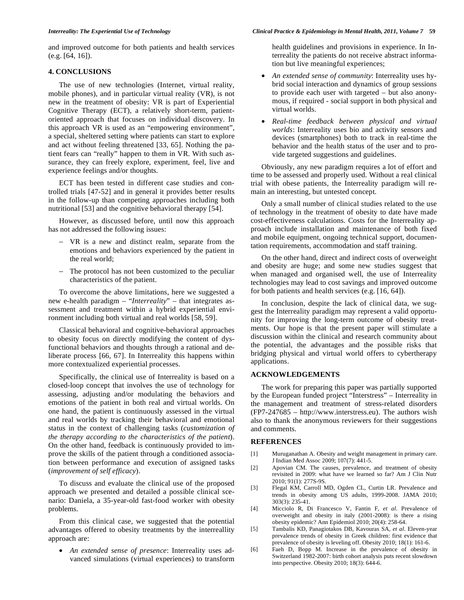# **4. CONCLUSIONS**

The use of new technologies (Internet, virtual reality, mobile phones), and in particular virtual reality (VR), is not new in the treatment of obesity: VR is part of Experiential Cognitive Therapy (ECT), a relatively short-term, patientoriented approach that focuses on individual discovery. In this approach VR is used as an "empowering environment", a special, sheltered setting where patients can start to explore and act without feeling threatened [33, 65]. Nothing the patient fears can "really" happen to them in VR. With such assurance, they can freely explore, experiment, feel, live and experience feelings and/or thoughts.

ECT has been tested in different case studies and controlled trials [47-52] and in general it provides better results in the follow-up than competing approaches including both nutritional [53] and the cognitive behavioral therapy [54].

However, as discussed before, until now this approach has not addressed the following issues:

- VR is a new and distinct realm, separate from the emotions and behaviors experienced by the patient in the real world;
- The protocol has not been customized to the peculiar characteristics of the patient.

To overcome the above limitations, here we suggested a new e-health paradigm – "*Interreality*" – that integrates assessment and treatment within a hybrid experiential environment including both virtual and real worlds [58, 59].

Classical behavioral and cognitive-behavioral approaches to obesity focus on directly modifying the content of dysfunctional behaviors and thoughts through a rational and deliberate process [66, 67]. In Interreality this happens within more contextualized experiential processes.

Specifically, the clinical use of Interreality is based on a closed-loop concept that involves the use of technology for assessing, adjusting and/or modulating the behaviors and emotions of the patient in both real and virtual worlds. On one hand, the patient is continuously assessed in the virtual and real worlds by tracking their behavioral and emotional status in the context of challenging tasks (*customization of the therapy according to the characteristics of the patient*). On the other hand, feedback is continuously provided to improve the skills of the patient through a conditioned association between performance and execution of assigned tasks (*improvement of self efficacy*).

To discuss and evaluate the clinical use of the proposed approach we presented and detailed a possible clinical scenario: Daniela, a 35-year-old fast-food worker with obesity problems.

From this clinical case, we suggested that the potential advantages offered to obesity treatments by the interreallity approach are:

• *An extended sense of presence*: Interreality uses advanced simulations (virtual experiences) to transform health guidelines and provisions in experience. In Interreality the patients do not receive abstract information but live meaningful experiences;

- *An extended sense of community*: Interreality uses hybrid social interaction and dynamics of group sessions to provide each user with targeted – but also anonymous, if required - social support in both physical and virtual worlds.
- *Real-time feedback between physical and virtual worlds*: Interreality uses bio and activity sensors and devices (smartphones) both to track in real-time the behavior and the health status of the user and to provide targeted suggestions and guidelines.

Obviously, any new paradigm requires a lot of effort and time to be assessed and properly used. Without a real clinical trial with obese patients, the Interreality paradigm will remain an interesting, but untested concept.

Only a small number of clinical studies related to the use of technology in the treatment of obesity to date have made cost-effectiveness calculations. Costs for the Interreality approach include installation and maintenance of both fixed and mobile equipment, ongoing technical support, documentation requirements, accommodation and staff training.

On the other hand, direct and indirect costs of overweight and obesity are huge; and some new studies suggest that when managed and organised well, the use of Interreality technologies may lead to cost savings and improved outcome for both patients and health services (e.g. [16, 64]).

In conclusion, despite the lack of clinical data, we suggest the Interreality paradigm may represent a valid opportunity for improving the long-term outcome of obesity treatments. Our hope is that the present paper will stimulate a discussion within the clinical and research community about the potential, the advantages and the possible risks that bridging physical and virtual world offers to cybertherapy applications.

# **ACKNOWLEDGEMENTS**

The work for preparing this paper was partially supported by the European funded project "Interstress" – Interreality in the management and treatment of stress-related disorders (FP7-247685 – http://www.interstress.eu). The authors wish also to thank the anonymous reviewers for their suggestions and comments.

# **REFERENCES**

- [1] Muruganathan A. Obesity and weight management in primary care. J Indian Med Assoc 2009; 107(7): 441-5.
- [2] Apovian CM. The causes, prevalence, and treatment of obesity revisited in 2009: what have we learned so far? Am J Clin Nutr 2010; 91(1): 277S-9S.
- [3] Flegal KM, Carroll MD, Ogden CL, Curtin LR. Prevalence and trends in obesity among US adults, 1999-2008. JAMA 2010; 303(3): 235-41.
- [4] Micciolo R, Di Francesco V, Fantin F*, et al*. Prevalence of overweight and obesity in italy (2001-2008): is there a rising obesity epidemic? Ann Epidemiol 2010; 20(4): 258-64.
- [5] Tambalis KD, Panagiotakos DB, Kavouras SA, *et al*. Eleven-year prevalence trends of obesity in Greek children: first evidence that prevalence of obesity is leveling off. Obesity 2010; 18(1): 161-6.
- [6] Faeh D, Bopp M. Increase in the prevalence of obesity in Switzerland 1982-2007: birth cohort analysis puts recent slowdown into perspective. Obesity 2010; 18(3): 644-6.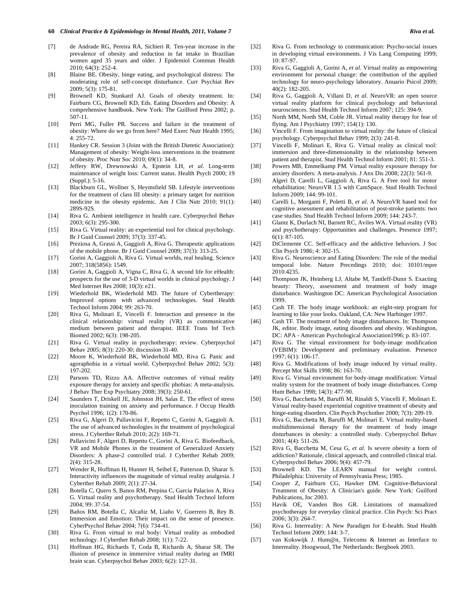- [7] de Andrade RG, Pereira RA, Sichieri R. Ten-year increase in the prevalence of obesity and reduction in fat intake in Brazilian women aged 35 years and older. J Epidemiol Commun Health 2010; 64(3): 252-4.
- [8] Blaine BE. Obesity, binge eating, and psychological distress: The moderating role of self-concept disturbance. Curr Psychiat Rev 2009; 5(3): 175-81.
- [9] Brownell KD, Stunkard AJ. Goals of obesity treatment. In: Fairburn CG, Brownell KD, Eds. Eating Disorders and Obesity: A comprehensive handbook. New York: The Guilford Press 2002; p. 507-11.
- [10] Perri MG, Fuller PR. Success and failure in the treatment of obesity: Where do we go from here? Med Exerc Nutr Health 1995; 4: 255-72.
- [11] Hankey CR. Session 3 (Joint with the British Dietetic Association): Management of obesity: Weight-loss interventions in the treatment of obesity. Proc Nutr Soc 2010; 69(1): 34-8.
- [12] Jeffery RW, Drewnowski A, Epstein LH, *et al*. Long-term maintenance of weight loss: Current status. Health Psych 2000; 19 (Suppl.): 5-16.
- [13] Blackburn GL, Wollner S, Heymsfield SB. Lifestyle interventions for the treatment of class III obesity: a primary target for nutrition medicine in the obesity epidemic. Am J Clin Nutr 2010; 91(1): 289S-92S.
- [14] Riva G. Ambient intelligence in health care. Cyberpsychol Behav 2003; 6(3): 295-300.
- [15] Riva G. Virtual reality: an experiential tool for clinical psychology. Br J Guid Counsel 2009; 37(3): 337-45.
- [16] Preziosa A, Grassi A, Gaggioli A, Riva G. Therapeutic applications of the mobile phone. Br J Guid Counsel 2009; 37(3): 313-25.
- [17] Gorini A, Gaggioli A, Riva G. Virtual worlds, real healing. Science 2007; 318(5856): 1549.
- [18] Gorini A, Gaggioli A, Vigna C, Riva G. A second life for eHealth: prospects for the use of 3-D virtual worlds in clinical psychology. J Med Internet Res 2008; 10(3): e21.
- [19] Wiederhold BK, Wiederhold MD. The future of Cybertherapy: Improved options with advanced technologies. Stud Health Technol Inform 2004; 99: 263-70.
- [20] Riva G, Molinari E, Vincelli F. Interaction and presence in the clinical relationship: virtual reality (VR) as communicative medium between patient and therapist. IEEE Trans Inf Tech Biomed 2002; 6(3): 198-205.
- [21] Riva G. Virtual reality in psychotherapy: review. Cyberpsychol Behav 2005; 8(3): 220-30; discussion 31-40.
- [22] Moore K, Wiederhold BK, Wiederhold MD, Riva G. Panic and agoraphobia in a virtual world. Cyberpsychol Behav 2002; 5(3): 197-202.
- [23] Parsons TD, Rizzo AA. Affective outcomes of virtual reality exposure therapy for anxiety and specific phobias: A meta-analysis. J Behav Ther Exp Psychiatry 2008; 39(3): 250-61.
- [24] Saunders T, Driskell JE, Johnston JH, Salas E. The effect of stress inoculation training on anxiety and performance. J Occup Health Psychol 1996; 1(2): 170-86.
- [25] Riva G, Algeri D, Pallavicini F, Repetto C, Gorini A, Gaggioli A. The use of advanced technologies in the treatment of psychological stress. J Cyberther Rehab 2010; 2(2): 169-71.
- [26] Pallavicini F, Algeri D, Repetto C, Gorini A, Riva G. Biofeedback, VR and Mobile Phones in the treatment of Generalized Anxiety Disorders: A phase-2 controlled trial. J Cyberther Rehab 2009; 2(4): 315-28.
- [27] Wender R, Hoffman H, Hunner H, Seibel E, Patterson D, Sharar S. Interactivity influences the magnitude of virtual reality analgesia. J Cyberther Rehab 2009; 2(1): 27-34.
- [28] Botella C, Quero S, Banos RM, Perpina C, Garcia Palacios A, Riva G. Virtual reality and psychotherapy. Stud Health Technol Inform 2004; 99: 37-54.
- [29] Baños RM, Botella C, Alcañiz M, Liaño V, Guerrero B, Rey B. Immersion and Emotion: Their impact on the sense of presence. CyberPsychol Behav 2004; 7(6): 734-41.
- [30] Riva G. From virtual to real body: Virtual reality as embodied technology. J Cyberther Rehab 2008; 1(1): 7-22.
- [31] Hoffman HG, Richards T, Coda B, Richards A, Sharar SR. The illusion of presence in immersive virtual reality during an fMRI brain scan. Cyberpsychol Behav 2003; 6(2): 127-31.
- [32] Riva G. From technology to communication: Psycho-social issues in developing virtual environments. J Vis Lang Computing 1999; 10: 87-97.
- [33] Riva G, Gaggioli A, Gorini A, *et al*. Virtual reality as empowering environment for personal change: the contribution of the applied technology for neuro-psychology laboratory. Anuario Psicol 2009; 40(2): 182-205.
- [34] Riva G, Gaggioli A, Villani D, *et al*. NeuroVR: an open source virtual reality platform for clinical psychology and behavioral neurosciences. Stud Health Technol Inform 2007; 125: 394-9.
- [35] North MM, North SM, Coble JR. Virtual reality therapy for fear of flying. Am J Psychiatry 1997; 154(1): 130.
- [36] Vincelli F. From imagination to virtual reality: the future of clinical psychology. Cyberpsychol Behav 1999; 2(3): 241-8.
- [37] Vincelli F, Molinari E, Riva G. Virtual reality as clinical tool: immersion and three-dimensionality in the relationship between patient and therapist. Stud Health Technol Inform 2001; 81: 551-3.
- [38] Powers MB, Emmelkamp PM. Virtual reality exposure therapy for anxiety disorders: A meta-analysis. J Anx Dis 2008; 22(3): 561-9.
- [39] Algeri D, Carelli L, Gaggioli A, Riva G. A Free tool for motor rehabilitation: NeuroVR 1.5 with CamSpace. Stud Health Technol Inform 2009; 144: 99-101.
- [40] Carelli L, Morganti F, Poletti B, *et al*. A NeuroVR based tool for cognitive assessment and rehabilitation of post-stroke patients: two case studies. Stud Health Technol Inform 2009; 144: 243-7.
- [41] Glantz K, Durlach NI, Barnett RC, Aviles WA. Virtual reality (VR) and psychotherapy: Opportunities and challenges. Presence 1997; 6(1): 87-105.
- [42] DiClemente CC. Self-efficacy and the addictive behaviors. J Soc Clin Psych 1986; 4: 302-15.
- [43] Riva G. Neuroscience and Eating Disorders: The role of the medial temporal lobe. Nature Precedings 2010; doi: 10101/mpre 2010.4235.
- [44] Thompson JK, Heinberg LJ, Altabe M, Tantleff-Dunn S. Exacting beauty: Theory, assessment and treatment of body image disturbance. Washington DC: American Psychological Association 1999.
- [45] Cash TF. The body image workbook: an eight-step program for learning to like your looks. Oakland, CA: New Harbinger 1997.
- [46] Cash TF. The treatment of body image disturbances. In: Thompson JK, editor. Body image, eating disorders and obesity. Washington, DC: APA - American Psychological Association1996; p. 83-107.
- [47] Riva G. The virtual environment for body-image modification (VEBIM): Development and preliminary evaluation. Presence 1997; 6(1): 106-17.
- [48] Riva G. Modifications of body image induced by virtual reality. Percept Mot Skills 1998; 86: 163-70.
- [49] Riva G. Virtual environment for body-image modification: Virtual reality system for the treatment of body image disturbances. Comp Hum Behav 1998; 14(3): 477-90.
- [50] Riva G, Bacchetta M, Baruffi M, Rinaldi S, Vincelli F, Molinari E. Virtual reality-based experiential cognitive treatment of obesity and binge-eating disorders. Clin Psych Psychother 2000; 7(3): 209-19.
- [51] Riva G, Bacchetta M, Baruffi M, Molinari E. Virtual reality-based multidimensional therapy for the treatment of body image disturbances in obesity: a controlled study. Cyberpsychol Behav 2001; 4(4): 511-26.
- [52] Riva G, Bacchetta M, Cesa G, *et al*. Is severe obesity a form of addiction? Rationale, clinical approach, and controlled clinical trial. Cyberpsychol Behav 2006; 9(4): 457-79.
- [53] Brownell KD. The LEARN manual for weight control. Philadelphia: University of Pennsylvania Press; 1985.
- [54] Cooper Z, Fairburn CG, Hawker DM. Cognitive-Behavioral Treatment of Obesity: A Clinician's guide. New York: Guilford Publications, Inc 2003.
- [55] Havik OE, Vanden Bos GR. Limitations of manualized psychotherapy for everyday clinical practice. Clin Psych: Sci Pract 2006; 3(3): 264-7.
- [56] Riva G. Interreality: A New Paradigm for E-health. Stud Health Technol Inform 2009; 144: 3-7.
- [57] van Kokswijk J. Hum@n, Telecoms & Internet as Interface to Interreality. Hoogwoud, The Netherlands: Bergboek 2003.